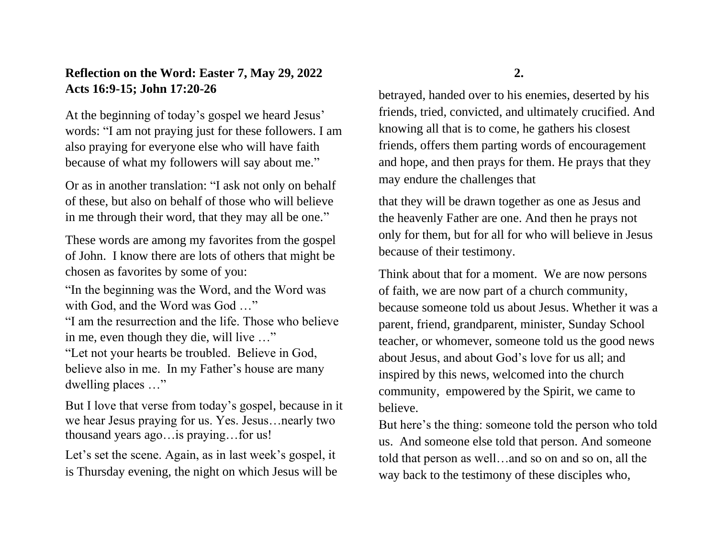## **Reflection on the Word: Easter 7, May 29, 2022 Acts 16:9-15; John 17:20-26**

At the beginning of today's gospel we heard Jesus' words: "I am not praying just for these followers. I am also praying for everyone else who will have faith because of what my followers will say about me."

Or as in another translation: "I ask not only on behalf of these, but also on behalf of those who will believe in me through their word, that they may all be one."

These words are among my favorites from the gospel of John. I know there are lots of others that might be chosen as favorites by some of you:

"In the beginning was the Word, and the Word was with God, and the Word was God …"

"I am the resurrection and the life. Those who believe in me, even though they die, will live …"

"Let not your hearts be troubled. Believe in God, believe also in me. In my Father's house are many dwelling places …"

But I love that verse from today's gospel, because in it we hear Jesus praying for us. Yes. Jesus…nearly two thousand years ago…is praying…for us!

Let's set the scene. Again, as in last week's gospel, it is Thursday evening, the night on which Jesus will be **2.**

betrayed, handed over to his enemies, deserted by his friends, tried, convicted, and ultimately crucified. And knowing all that is to come, he gathers his closest friends, offers them parting words of encouragement and hope, and then prays for them. He prays that they may endure the challenges that

that they will be drawn together as one as Jesus and the heavenly Father are one. And then he prays not only for them, but for all for who will believe in Jesus because of their testimony.

Think about that for a moment. We are now persons of faith, we are now part of a church community, because someone told us about Jesus. Whether it was a parent, friend, grandparent, minister, Sunday School teacher, or whomever, someone told us the good news about Jesus, and about God's love for us all; and inspired by this news, welcomed into the church community, empowered by the Spirit, we came to believe.

But here's the thing: someone told the person who told us. And someone else told that person. And someone told that person as well…and so on and so on, all the way back to the testimony of these disciples who,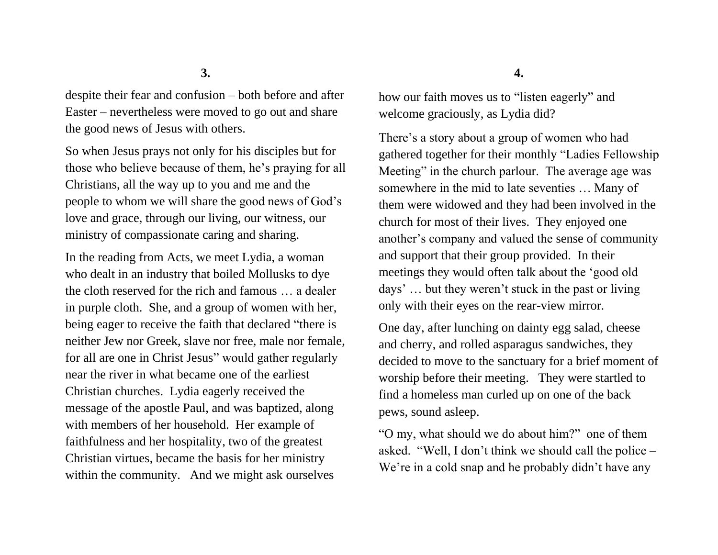despite their fear and confusion – both before and after Easter – nevertheless were moved to go out and share the good news of Jesus with others.

So when Jesus prays not only for his disciples but for those who believe because of them, he's praying for all Christians, all the way up to you and me and the people to whom we will share the good news of God's love and grace, through our living, our witness, our ministry of compassionate caring and sharing.

In the reading from Acts, we meet Lydia, a woman who dealt in an industry that boiled Mollusks to dye the cloth reserved for the rich and famous … a dealer in purple cloth. She, and a group of women with her, being eager to receive the faith that declared "there is neither Jew nor Greek, slave nor free, male nor female, for all are one in Christ Jesus" would gather regularly near the river in what became one of the earliest Christian churches. Lydia eagerly received the message of the apostle Paul, and was baptized, along with members of her household. Her example of faithfulness and her hospitality, two of the greatest Christian virtues, became the basis for her ministry within the community. And we might ask ourselves

how our faith moves us to "listen eagerly" and welcome graciously, as Lydia did?

There's a story about a group of women who had gathered together for their monthly "Ladies Fellowship Meeting" in the church parlour. The average age was somewhere in the mid to late seventies … Many of them were widowed and they had been involved in the church for most of their lives. They enjoyed one another's company and valued the sense of community and support that their group provided. In their meetings they would often talk about the 'good old days' … but they weren't stuck in the past or living only with their eyes on the rear-view mirror.

One day, after lunching on dainty egg salad, cheese and cherry, and rolled asparagus sandwiches, they decided to move to the sanctuary for a brief moment of worship before their meeting. They were startled to find a homeless man curled up on one of the back pews, sound asleep.

"O my, what should we do about him?" one of them asked. "Well, I don't think we should call the police – We're in a cold snap and he probably didn't have any

**3.**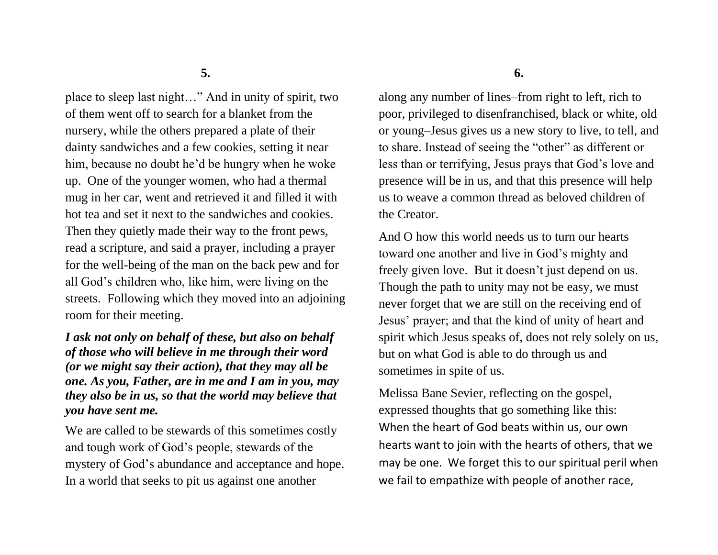place to sleep last night…" And in unity of spirit, two of them went off to search for a blanket from the nursery, while the others prepared a plate of their dainty sandwiches and a few cookies, setting it near him, because no doubt he'd be hungry when he woke up. One of the younger women, who had a thermal mug in her car, went and retrieved it and filled it with hot tea and set it next to the sandwiches and cookies. Then they quietly made their way to the front pews, read a scripture, and said a prayer, including a prayer for the well-being of the man on the back pew and for all God's children who, like him, were living on the streets. Following which they moved into an adjoining room for their meeting.

## *I ask not only on behalf of these, but also on behalf of those who will believe in me through their word (or we might say their action), that they may all be one. As you, Father, are in me and I am in you, may they also be in us, so that the world may believe that you have sent me.*

We are called to be stewards of this sometimes costly and tough work of God's people, stewards of the mystery of God's abundance and acceptance and hope. In a world that seeks to pit us against one another

along any number of lines–from right to left, rich to poor, privileged to disenfranchised, black or white, old or young–Jesus gives us a new story to live, to tell, and to share. Instead of seeing the "other" as different or less than or terrifying, Jesus prays that God's love and presence will be in us, and that this presence will help us to weave a common thread as beloved children of the Creator.

And O how this world needs us to turn our hearts toward one another and live in God's mighty and freely given love. But it doesn't just depend on us. Though the path to unity may not be easy, we must never forget that we are still on the receiving end of Jesus' prayer; and that the kind of unity of heart and spirit which Jesus speaks of, does not rely solely on us, but on what God is able to do through us and sometimes in spite of us.

Melissa Bane Sevier, reflecting on the gospel, expressed thoughts that go something like this: When the heart of God beats within us, our own hearts want to join with the hearts of others, that we may be one. We forget this to our spiritual peril when we fail to empathize with people of another race,